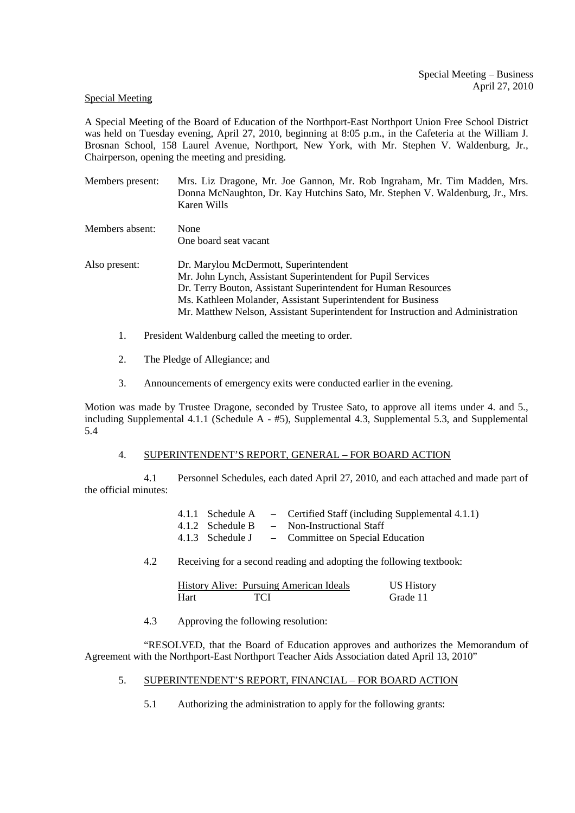## Special Meeting

A Special Meeting of the Board of Education of the Northport-East Northport Union Free School District was held on Tuesday evening, April 27, 2010, beginning at 8:05 p.m., in the Cafeteria at the William J. Brosnan School, 158 Laurel Avenue, Northport, New York, with Mr. Stephen V. Waldenburg, Jr., Chairperson, opening the meeting and presiding.

Members present: Mrs. Liz Dragone, Mr. Joe Gannon, Mr. Rob Ingraham, Mr. Tim Madden, Mrs. Donna McNaughton, Dr. Kay Hutchins Sato, Mr. Stephen V. Waldenburg, Jr., Mrs. Karen Wills

Members absent: None One board seat vacant

Also present: Dr. Marylou McDermott, Superintendent Mr. John Lynch, Assistant Superintendent for Pupil Services Dr. Terry Bouton, Assistant Superintendent for Human Resources Ms. Kathleen Molander, Assistant Superintendent for Business Mr. Matthew Nelson, Assistant Superintendent for Instruction and Administration

- 1. President Waldenburg called the meeting to order.
- 2. The Pledge of Allegiance; and
- 3. Announcements of emergency exits were conducted earlier in the evening.

Motion was made by Trustee Dragone, seconded by Trustee Sato, to approve all items under 4. and 5., including Supplemental 4.1.1 (Schedule A - #5), Supplemental 4.3, Supplemental 5.3, and Supplemental 5.4

## 4. SUPERINTENDENT'S REPORT, GENERAL – FOR BOARD ACTION

4.1 Personnel Schedules, each dated April 27, 2010, and each attached and made part of the official minutes:

|                  | 4.1.1 Schedule A – Certified Staff (including Supplemental 4.1.1) |
|------------------|-------------------------------------------------------------------|
| 4.1.2 Schedule B | - Non-Instructional Staff                                         |
|                  | 4.1.3 Schedule J – Committee on Special Education                 |

4.2 Receiving for a second reading and adopting the following textbook:

|      |            | History Alive: Pursuing American Ideals | <b>US History</b> |
|------|------------|-----------------------------------------|-------------------|
| Hart | <b>TCI</b> |                                         | Grade 11          |

4.3 Approving the following resolution:

 "RESOLVED, that the Board of Education approves and authorizes the Memorandum of Agreement with the Northport-East Northport Teacher Aids Association dated April 13, 2010"

- 5. SUPERINTENDENT'S REPORT, FINANCIAL FOR BOARD ACTION
	- 5.1 Authorizing the administration to apply for the following grants: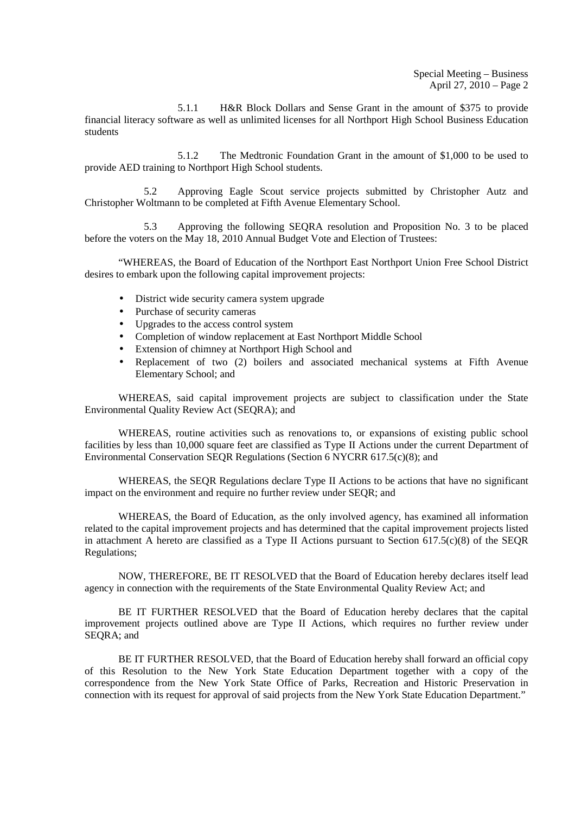Special Meeting – Business April 27, 2010 – Page 2

5.1.1 H&R Block Dollars and Sense Grant in the amount of \$375 to provide financial literacy software as well as unlimited licenses for all Northport High School Business Education students

5.1.2 The Medtronic Foundation Grant in the amount of \$1,000 to be used to provide AED training to Northport High School students.

5.2 Approving Eagle Scout service projects submitted by Christopher Autz and Christopher Woltmann to be completed at Fifth Avenue Elementary School.

5.3 Approving the following SEQRA resolution and Proposition No. 3 to be placed before the voters on the May 18, 2010 Annual Budget Vote and Election of Trustees:

"WHEREAS, the Board of Education of the Northport East Northport Union Free School District desires to embark upon the following capital improvement projects:

- District wide security camera system upgrade
- Purchase of security cameras
- Upgrades to the access control system
- Completion of window replacement at East Northport Middle School
- Extension of chimney at Northport High School and
- Replacement of two (2) boilers and associated mechanical systems at Fifth Avenue Elementary School; and

WHEREAS, said capital improvement projects are subject to classification under the State Environmental Quality Review Act (SEQRA); and

WHEREAS, routine activities such as renovations to, or expansions of existing public school facilities by less than 10,000 square feet are classified as Type II Actions under the current Department of Environmental Conservation SEQR Regulations (Section 6 NYCRR 617.5(c)(8); and

WHEREAS, the SEQR Regulations declare Type II Actions to be actions that have no significant impact on the environment and require no further review under SEQR; and

WHEREAS, the Board of Education, as the only involved agency, has examined all information related to the capital improvement projects and has determined that the capital improvement projects listed in attachment A hereto are classified as a Type II Actions pursuant to Section  $617.5(c)(8)$  of the SEQR Regulations;

NOW, THEREFORE, BE IT RESOLVED that the Board of Education hereby declares itself lead agency in connection with the requirements of the State Environmental Quality Review Act; and

BE IT FURTHER RESOLVED that the Board of Education hereby declares that the capital improvement projects outlined above are Type II Actions, which requires no further review under SEQRA; and

BE IT FURTHER RESOLVED, that the Board of Education hereby shall forward an official copy of this Resolution to the New York State Education Department together with a copy of the correspondence from the New York State Office of Parks, Recreation and Historic Preservation in connection with its request for approval of said projects from the New York State Education Department."